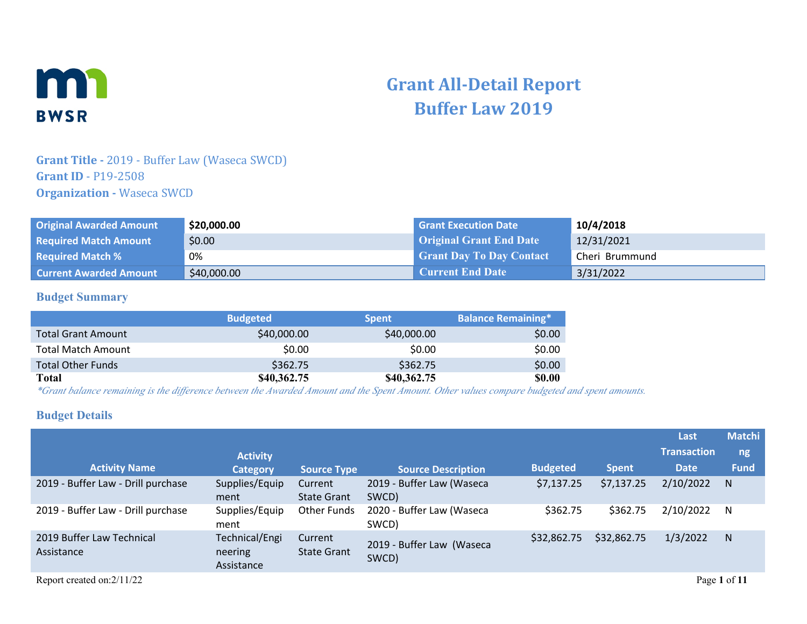

# **Grant All-Detail Report Buffer Law 2019**

### **Grant Title -** 2019 - Buffer Law (Waseca SWCD) **Grant ID** - P19-2508 **Organization - Waseca SWCD**

| <b>Original Awarded Amount</b> | \$20,000.00 | <b>Grant Execution Date</b>     | 10/4/2018      |
|--------------------------------|-------------|---------------------------------|----------------|
| <b>Required Match Amount</b>   | \$0.00      | <b>Original Grant End Date</b>  | 12/31/2021     |
| <b>Required Match %</b>        | 0%          | <b>Grant Day To Day Contact</b> | Cheri Brummund |
| <b>Current Awarded Amount</b>  | \$40,000.00 | <b>Current End Date</b>         | 3/31/2022      |

### **Budget Summary**

|                           | <b>Budgeted</b> | <b>Spent</b> | <b>Balance Remaining*</b> |
|---------------------------|-----------------|--------------|---------------------------|
| <b>Total Grant Amount</b> | \$40,000.00     | \$40,000.00  | \$0.00                    |
| <b>Total Match Amount</b> | \$0.00          | \$0.00       | \$0.00                    |
| <b>Total Other Funds</b>  | \$362.75        | \$362.75     | \$0.00                    |
| Total                     | \$40,362.75     | \$40,362.75  | <b>\$0.00</b>             |

*\*Grant balance remaining is the difference between the Awarded Amount and the Spent Amount. Other values compare budgeted and spent amounts.*

### **Budget Details**

|                                         |                                         |                               |                                    |                 |              | Last               | <b>Matchi</b> |
|-----------------------------------------|-----------------------------------------|-------------------------------|------------------------------------|-----------------|--------------|--------------------|---------------|
|                                         | <b>Activity</b>                         |                               |                                    |                 |              | <b>Transaction</b> | ng            |
| <b>Activity Name</b>                    | <b>Category</b>                         | <b>Source Type</b>            | <b>Source Description</b>          | <b>Budgeted</b> | <b>Spent</b> | <b>Date</b>        | <b>Fund</b>   |
| 2019 - Buffer Law - Drill purchase      | Supplies/Equip<br>ment                  | Current<br><b>State Grant</b> | 2019 - Buffer Law (Waseca<br>SWCD) | \$7,137.25      | \$7,137.25   | 2/10/2022          | N             |
| 2019 - Buffer Law - Drill purchase      | Supplies/Equip<br>ment                  | <b>Other Funds</b>            | 2020 - Buffer Law (Waseca<br>SWCD) | \$362.75        | \$362.75     | 2/10/2022          | N             |
| 2019 Buffer Law Technical<br>Assistance | Technical/Engi<br>neering<br>Assistance | Current<br><b>State Grant</b> | 2019 - Buffer Law (Waseca<br>SWCD) | \$32,862.75     | \$32,862.75  | 1/3/2022           | N             |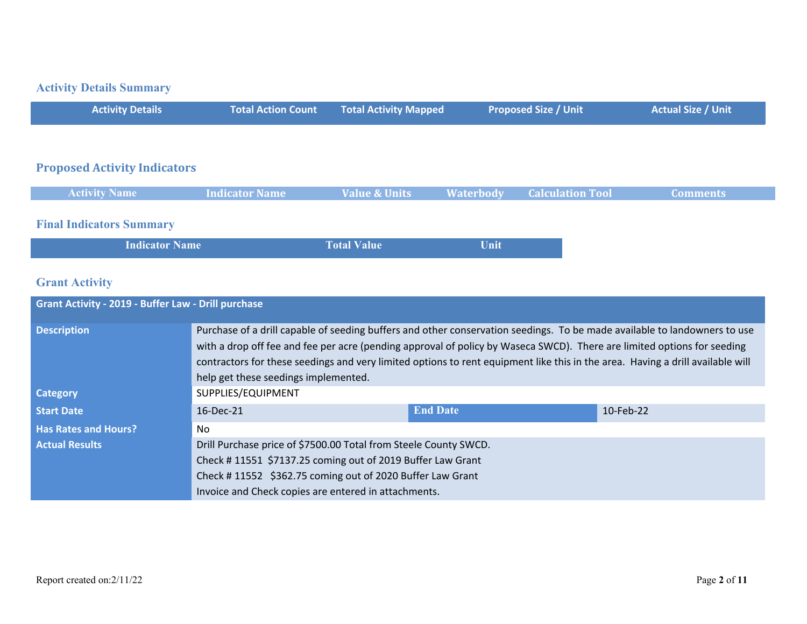# **Activity Details Summary**

| <b>Total Action Count Total Activity Mapped</b><br><b>Proposed Size / Unit \</b><br><b>Activity Details</b> | <b>Actual Size / Unit</b> |
|-------------------------------------------------------------------------------------------------------------|---------------------------|
|-------------------------------------------------------------------------------------------------------------|---------------------------|

### **Proposed Activity Indicators**

| <b>Activity Name</b>            | <b>Indicator Name</b> |  | Value & Units <b>Waterbody</b> Calculation Tool | Comments |
|---------------------------------|-----------------------|--|-------------------------------------------------|----------|
|                                 |                       |  |                                                 |          |
| <b>Final Indicators Summary</b> |                       |  |                                                 |          |

| Unit<br><b>Total Value</b><br><b>Indicator Name</b> |
|-----------------------------------------------------|
|-----------------------------------------------------|

# **Grant Activity**

| <b>Grant Activity - 2019 - Buffer Law - Drill purchase</b> |                                                                                                                                                                                                                                                                                                                                                                                                                                |                 |           |  |
|------------------------------------------------------------|--------------------------------------------------------------------------------------------------------------------------------------------------------------------------------------------------------------------------------------------------------------------------------------------------------------------------------------------------------------------------------------------------------------------------------|-----------------|-----------|--|
| <b>Description</b>                                         | Purchase of a drill capable of seeding buffers and other conservation seedings. To be made available to landowners to use<br>with a drop off fee and fee per acre (pending approval of policy by Waseca SWCD). There are limited options for seeding<br>contractors for these seedings and very limited options to rent equipment like this in the area. Having a drill available will<br>help get these seedings implemented. |                 |           |  |
| <b>Category</b>                                            | SUPPLIES/EQUIPMENT                                                                                                                                                                                                                                                                                                                                                                                                             |                 |           |  |
| <b>Start Date</b>                                          | 16-Dec-21                                                                                                                                                                                                                                                                                                                                                                                                                      | <b>End Date</b> | 10-Feb-22 |  |
| <b>Has Rates and Hours?</b>                                | No.                                                                                                                                                                                                                                                                                                                                                                                                                            |                 |           |  |
| <b>Actual Results</b>                                      | Drill Purchase price of \$7500.00 Total from Steele County SWCD.                                                                                                                                                                                                                                                                                                                                                               |                 |           |  |
|                                                            | Check #11551 \$7137.25 coming out of 2019 Buffer Law Grant<br>Check #11552 \$362.75 coming out of 2020 Buffer Law Grant                                                                                                                                                                                                                                                                                                        |                 |           |  |
|                                                            |                                                                                                                                                                                                                                                                                                                                                                                                                                |                 |           |  |
|                                                            | Invoice and Check copies are entered in attachments.                                                                                                                                                                                                                                                                                                                                                                           |                 |           |  |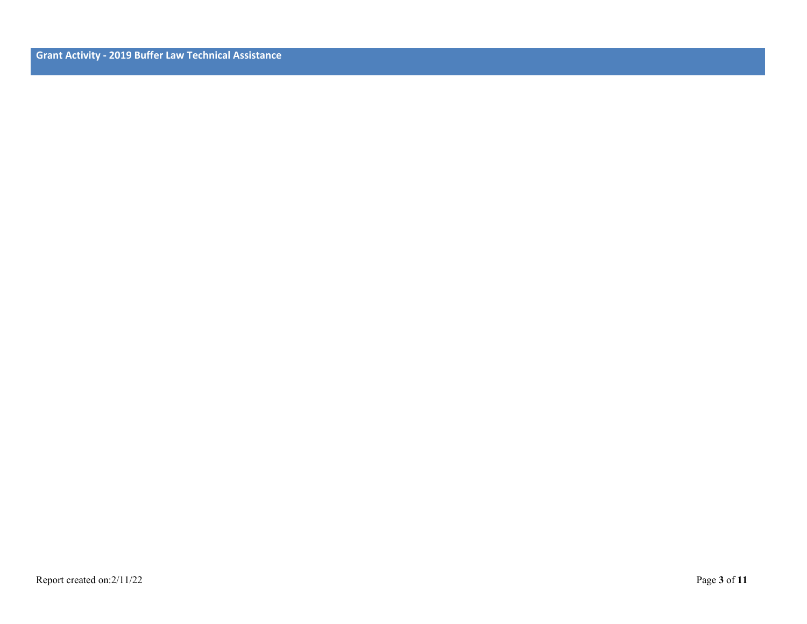**Grant Activity - 2019 Buffer Law Technical Assistance**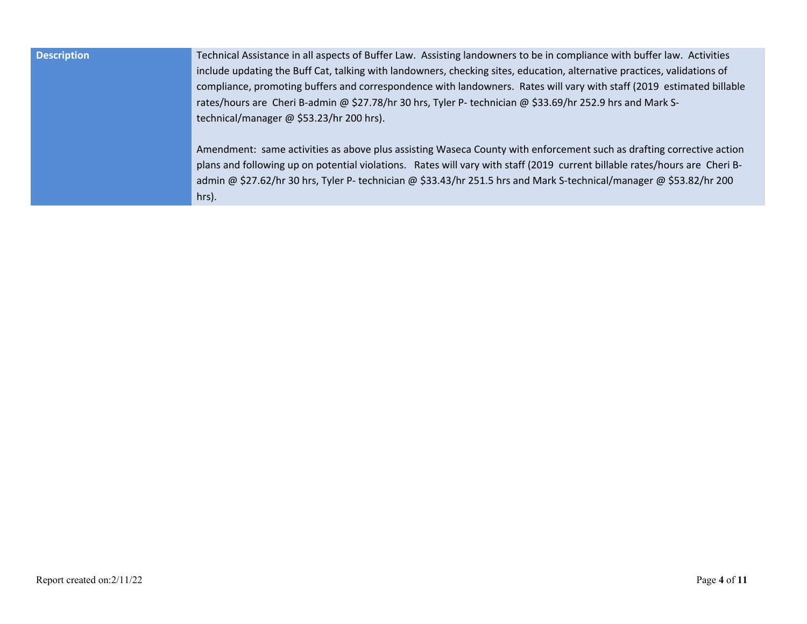| <b>Description</b> | Technical Assistance in all aspects of Buffer Law. Assisting landowners to be in compliance with buffer law. Activities<br>include updating the Buff Cat, talking with landowners, checking sites, education, alternative practices, validations of<br>compliance, promoting buffers and correspondence with landowners. Rates will vary with staff (2019 estimated billable<br>rates/hours are Cheri B-admin @ \$27.78/hr 30 hrs, Tyler P- technician @ \$33.69/hr 252.9 hrs and Mark S-<br>technical/manager @ \$53.23/hr 200 hrs). |
|--------------------|---------------------------------------------------------------------------------------------------------------------------------------------------------------------------------------------------------------------------------------------------------------------------------------------------------------------------------------------------------------------------------------------------------------------------------------------------------------------------------------------------------------------------------------|
|                    | Amendment: same activities as above plus assisting Waseca County with enforcement such as drafting corrective action<br>plans and following up on potential violations. Rates will vary with staff (2019 current billable rates/hours are Cheri B-<br>admin @ \$27.62/hr 30 hrs, Tyler P- technician @ \$33.43/hr 251.5 hrs and Mark S-technical/manager @ \$53.82/hr 200<br>hrs).                                                                                                                                                    |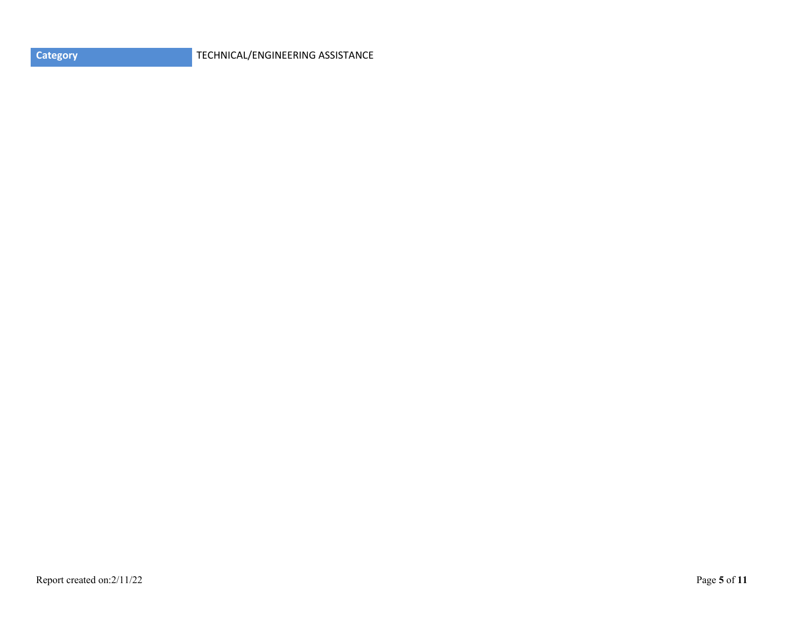**CATEGORY** TECHNICAL/ENGINEERING ASSISTANCE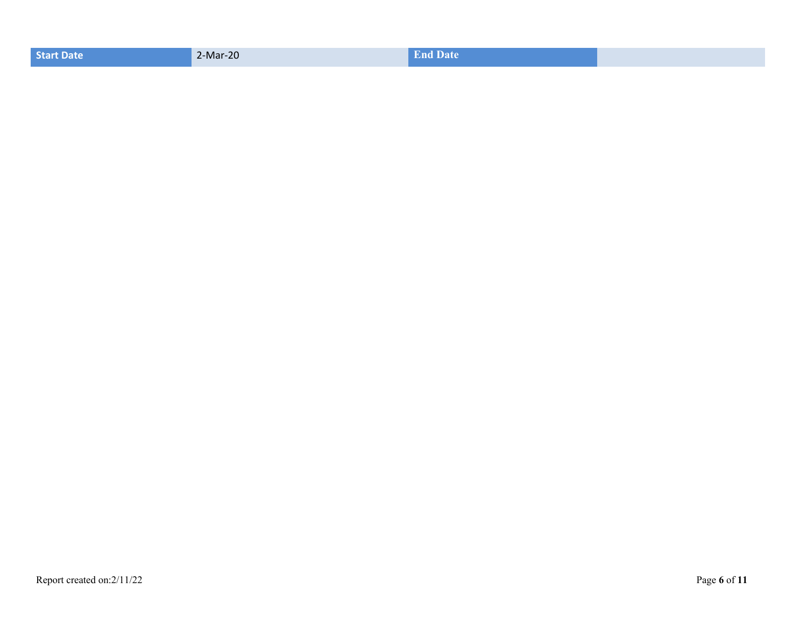| <b>Start Date</b> | 2-Mar-20 | <b>End Date</b> |  |
|-------------------|----------|-----------------|--|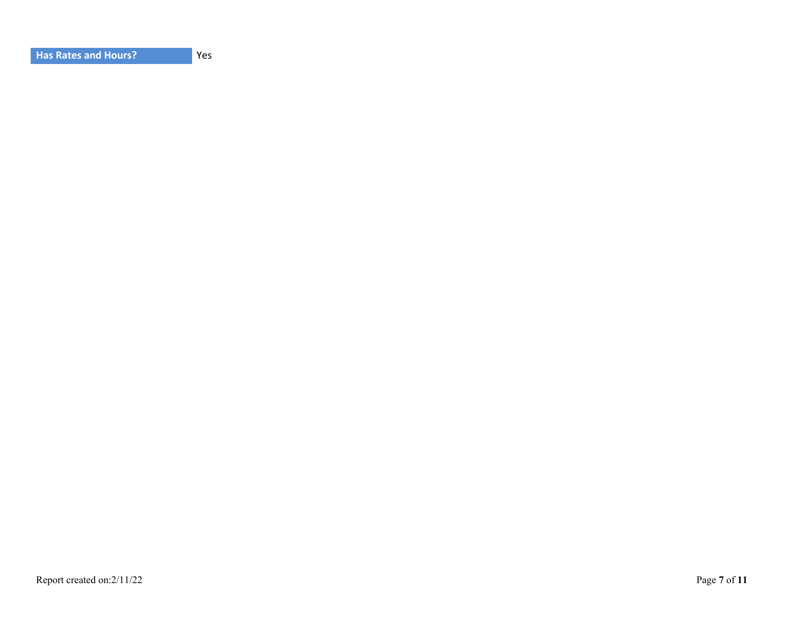|--|

Yes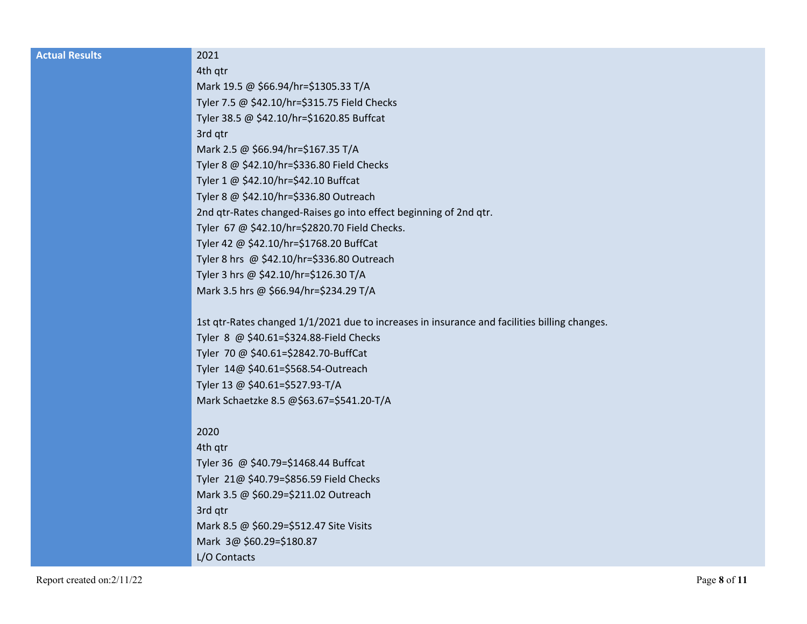| <b>Actual Results</b> | 2021                                                                                         |
|-----------------------|----------------------------------------------------------------------------------------------|
|                       | 4th qtr                                                                                      |
|                       | Mark 19.5 @ \$66.94/hr=\$1305.33 T/A                                                         |
|                       | Tyler 7.5 @ \$42.10/hr=\$315.75 Field Checks                                                 |
|                       | Tyler 38.5 @ \$42.10/hr=\$1620.85 Buffcat                                                    |
|                       | 3rd qtr                                                                                      |
|                       | Mark 2.5 @ \$66.94/hr=\$167.35 T/A                                                           |
|                       | Tyler 8 @ \$42.10/hr=\$336.80 Field Checks                                                   |
|                       | Tyler 1 @ \$42.10/hr=\$42.10 Buffcat                                                         |
|                       | Tyler 8 @ \$42.10/hr=\$336.80 Outreach                                                       |
|                       | 2nd qtr-Rates changed-Raises go into effect beginning of 2nd qtr.                            |
|                       | Tyler 67 @ \$42.10/hr=\$2820.70 Field Checks.                                                |
|                       | Tyler 42 @ \$42.10/hr=\$1768.20 BuffCat                                                      |
|                       | Tyler 8 hrs @ \$42.10/hr=\$336.80 Outreach                                                   |
|                       | Tyler 3 hrs @ \$42.10/hr=\$126.30 T/A                                                        |
|                       | Mark 3.5 hrs @ \$66.94/hr=\$234.29 T/A                                                       |
|                       |                                                                                              |
|                       | 1st qtr-Rates changed 1/1/2021 due to increases in insurance and facilities billing changes. |
|                       | Tyler 8 @ \$40.61=\$324.88-Field Checks                                                      |
|                       | Tyler 70 @ \$40.61=\$2842.70-BuffCat                                                         |
|                       | Tyler 14@ \$40.61=\$568.54-Outreach                                                          |
|                       | Tyler 13 @ \$40.61=\$527.93-T/A                                                              |
|                       | Mark Schaetzke 8.5 @\$63.67=\$541.20-T/A                                                     |
|                       |                                                                                              |
|                       | 2020                                                                                         |
|                       | 4th qtr                                                                                      |
|                       | Tyler 36 @ \$40.79=\$1468.44 Buffcat                                                         |
|                       | Tyler 21@ \$40.79=\$856.59 Field Checks                                                      |
|                       | Mark 3.5 @ \$60.29=\$211.02 Outreach                                                         |
|                       | 3rd qtr<br>Mark 8.5 @ \$60.29=\$512.47 Site Visits                                           |
|                       | Mark 3@ \$60.29=\$180.87                                                                     |
|                       |                                                                                              |

L/O Contacts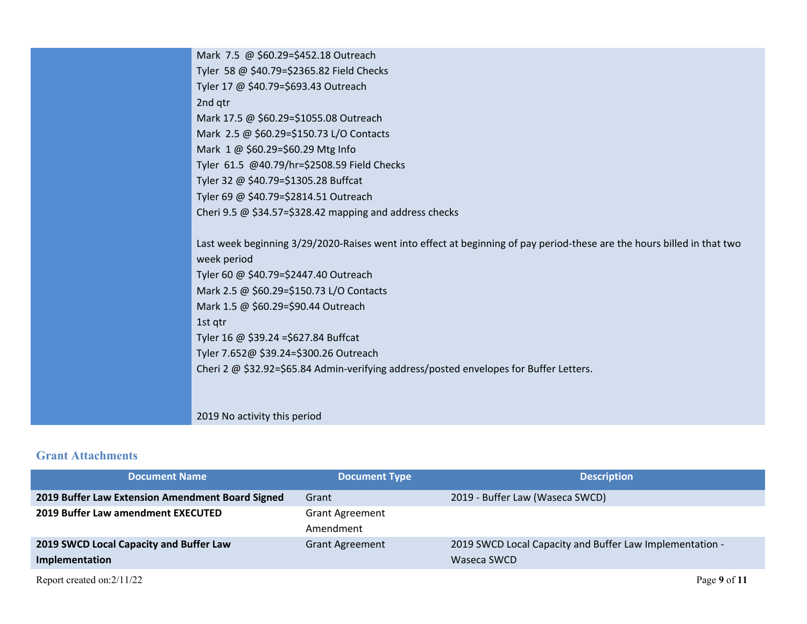| Mark 7.5 @ \$60.29=\$452.18 Outreach                                                                                    |
|-------------------------------------------------------------------------------------------------------------------------|
| Tyler 58 @ \$40.79=\$2365.82 Field Checks                                                                               |
| Tyler 17 @ \$40.79=\$693.43 Outreach                                                                                    |
| 2nd qtr                                                                                                                 |
| Mark 17.5 @ \$60.29=\$1055.08 Outreach                                                                                  |
| Mark 2.5 @ \$60.29=\$150.73 L/O Contacts                                                                                |
| Mark 1 @ \$60.29=\$60.29 Mtg Info                                                                                       |
| Tyler 61.5 @40.79/hr=\$2508.59 Field Checks                                                                             |
| Tyler 32 @ \$40.79=\$1305.28 Buffcat                                                                                    |
| Tyler 69 @ \$40.79=\$2814.51 Outreach                                                                                   |
| Cheri 9.5 $@$ \$34.57=\$328.42 mapping and address checks                                                               |
|                                                                                                                         |
| Last week beginning 3/29/2020-Raises went into effect at beginning of pay period-these are the hours billed in that two |
| week period                                                                                                             |
| Tyler 60 @ \$40.79=\$2447.40 Outreach                                                                                   |
| Mark 2.5 @ \$60.29=\$150.73 L/O Contacts                                                                                |
| Mark 1.5 @ \$60.29=\$90.44 Outreach                                                                                     |
| 1st qtr                                                                                                                 |
| Tyler 16 @ \$39.24 = \$627.84 Buffcat                                                                                   |
| Tyler 7.652@ \$39.24=\$300.26 Outreach                                                                                  |
| Cheri 2 @ \$32.92=\$65.84 Admin-verifying address/posted envelopes for Buffer Letters.                                  |
|                                                                                                                         |
|                                                                                                                         |
|                                                                                                                         |

#### 2019 No activity this period

### **Grant Attachments**

| <b>Document Name</b>                             | <b>Document Type</b>   | <b>Description</b>                                       |
|--------------------------------------------------|------------------------|----------------------------------------------------------|
| 2019 Buffer Law Extension Amendment Board Signed | Grant                  | 2019 - Buffer Law (Waseca SWCD)                          |
| 2019 Buffer Law amendment EXECUTED               | <b>Grant Agreement</b> |                                                          |
|                                                  | Amendment              |                                                          |
| 2019 SWCD Local Capacity and Buffer Law          | <b>Grant Agreement</b> | 2019 SWCD Local Capacity and Buffer Law Implementation - |
| Implementation                                   |                        | Waseca SWCD                                              |
| Report created on: 2/11/22                       |                        | Page 9 of 11                                             |